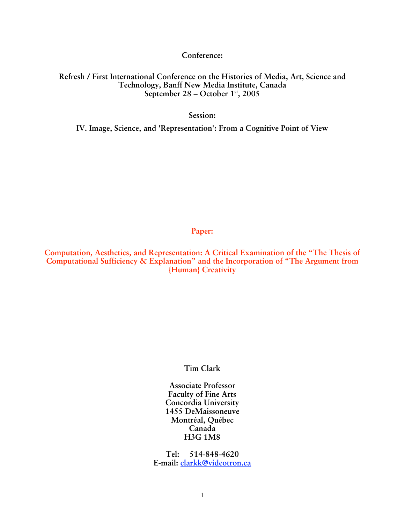**Conference:**

## **Refresh / First International Conference on the Histories of Media, Art, Science and Technology, Banff New Media Institute, Canada September 28 – October 1st, 2005**

**Session:**

**IV. Image, Science, and 'Representation': From a Cognitive Point of View**

**Paper:**

**Computation, Aesthetics, and Representation: A Critical Examination of the "The Thesis of Computational Sufficiency & Explanation" and the Incorporation of "The Argument from {Human} Creativity**

**Tim Clark**

**Associate Professor Faculty of Fine Arts Concordia University 1455 DeMaissoneuve Montréal, Québec Canada H3G 1M8**

**Tel: 514-848-4620 E-mail: clarkk@videotron.ca**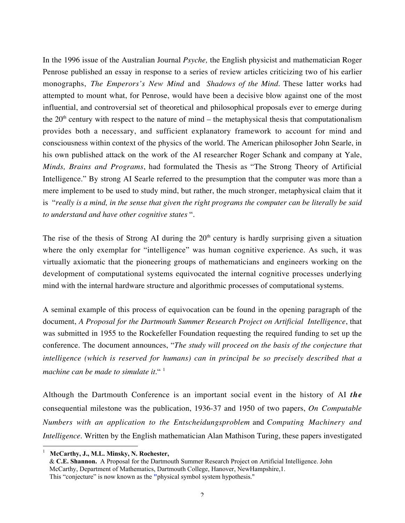In the 1996 issue of the Australian Journal *Psyche,* the English physicist and mathematician Roger Penrose published an essay in response to a series of review articles criticizing two of his earlier monographs, *The Emperors's New Mind* and *Shadows of the Mind.* These latter works had attempted to mount what, for Penrose, would have been a decisive blow against one of the most influential, and controversial set of theoretical and philosophical proposals ever to emerge during the  $20<sup>th</sup>$  century with respect to the nature of mind – the metaphysical thesis that computationalism provides both a necessary, and sufficient explanatory framework to account for mind and consciousness within context of the physics of the world. The American philosopher John Searle, in his own published attack on the work of the AI researcher Roger Schank and company at Yale, *Minds, Brains and Programs*, had formulated the Thesis as "The Strong Theory of Artificial Intelligence." By strong AI Searle referred to the presumption that the computer was more than a mere implement to be used to study mind, but rather, the much stronger, metaphysical claim that it is "*really is a mind, in the sense that given the right programs the computer can be literally be said to understand and have other cognitive states* ".

The rise of the thesis of Strong AI during the  $20<sup>th</sup>$  century is hardly surprising given a situation where the only exemplar for "intelligence" was human cognitive experience. As such, it was virtually axiomatic that the pioneering groups of mathematicians and engineers working on the development of computational systems equivocated the internal cognitive processes underlying mind with the internal hardware structure and algorithmic processes of computational systems.

A seminal example of this process of equivocation can be found in the opening paragraph of the document, *A Proposal for the Dartmouth Summer Research Project on Artificial Intelligence*, that was submitted in 1955 to the Rockefeller Foundation requesting the required funding to set up the conference. The document announces, "*The study will proceed on the basis of the conjecture that intelligence (which is reserved for humans) can in principal be so precisely described that a* machine can be made to simulate it.<sup>" 1</sup>

Although the Dartmouth Conference is an important social event in the history of AI *the* consequential milestone was the publication, 1936-37 and 1950 of two papers, *On Computable Numbers with an application to the Entscheidungsproblem* and *Computing Machinery and Intelligence*. Written by the English mathematician Alan Mathison Turing, these papers investigated

<sup>1</sup> McCarthy, J., M.L. Minsky, N. Rochester,

 <sup>&</sup>amp; C.E. Shannon. A Proposal for the Dartmouth Summer Research Project on Artificial Intelligence. John McCarthy, Department of Mathematics, Dartmouth College, Hanover, NewHampshire,1. This "conjecture" is now known as the "physical symbol system hypothesis."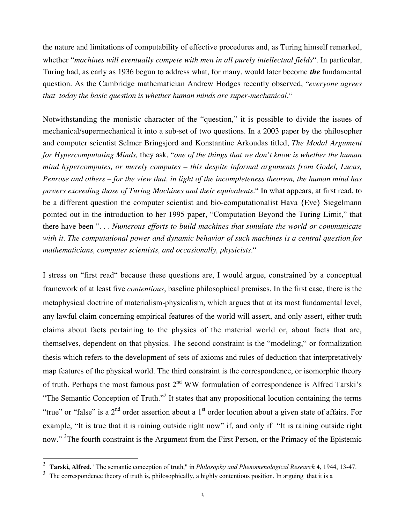the nature and limitations of computability of effective procedures and, as Turing himself remarked, whether "*machines will eventually compete with men in all purely intellectual fields*". In particular, Turing had, as early as 1936 begun to address what, for many, would later become *the* fundamental question. As the Cambridge mathematician Andrew Hodges recently observed, "*everyone agrees that today the basic question is whether human minds are super-mechanical.*"

Notwithstanding the monistic character of the "question," it is possible to divide the issues of mechanical/supermechanical it into a sub-set of two questions. In a 2003 paper by the philosopher and computer scientist Selmer Bringsjord and Konstantine Arkoudas titled, *The Modal Argument for Hypercomputating Minds,* they ask, "*one of the things that we don't know is whether the human mind hypercomputes, or merely computes – this despite informal arguments from Godel, Lucas, Penrose and others – for the view that, in light of the incompleteness theorem, the human mind has powers exceeding those of Turing Machines and their equivalents.*" In what appears, at first read, to be a different question the computer scientist and bio-computationalist Hava {Eve} Siegelmann pointed out in the introduction to her 1995 paper, "Computation Beyond the Turing Limit," that there have been ". . . *Numerous efforts to build machines that simulate the world or communicate with it. The computational power and dynamic behavior of such machines is a central question for mathematicians, computer scientists, and occasionally, physicists*."

I stress on "first read" because these questions are, I would argue, constrained by a conceptual framework of at least five *contentious*, baseline philosophical premises. In the first case, there is the metaphysical doctrine of materialism-physicalism, which argues that at its most fundamental level, any lawful claim concerning empirical features of the world will assert, and only assert, either truth claims about facts pertaining to the physics of the material world or, about facts that are, themselves, dependent on that physics. The second constraint is the "modeling," or formalization thesis which refers to the development of sets of axioms and rules of deduction that interpretatively map features of the physical world. The third constraint is the correspondence, or isomorphic theory of truth. Perhaps the most famous post  $2<sup>nd</sup> WW$  formulation of correspondence is Alfred Tarski's "The Semantic Conception of Truth."<sup>2</sup> It states that any propositional locution containing the terms "true" or "false" is a  $2<sup>nd</sup>$  order assertion about a  $1<sup>st</sup>$  order locution about a given state of affairs. For example, "It is true that it is raining outside right now" if, and only if "It is raining outside right now." <sup>3</sup>The fourth constraint is the Argument from the First Person, or the Primacy of the Epistemic

<sup>2</sup> Tarski, Alfred. "The semantic conception of truth," in *Philosophy and Phenomenological Research* 4, 1944, 13-47.

<sup>3</sup> The correspondence theory of truth is, philosophically, a highly contentious position. In arguing that it is a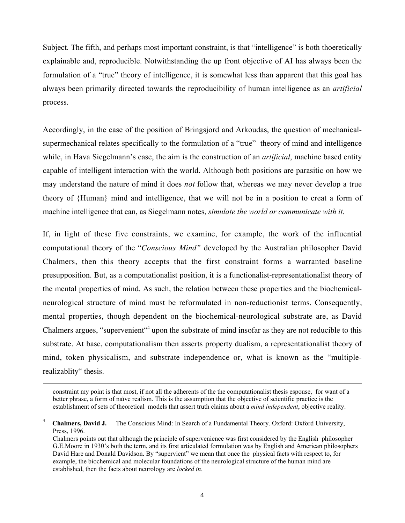Subject. The fifth, and perhaps most important constraint, is that "intelligence" is both thoeretically explainable and, reproducible. Notwithstanding the up front objective of AI has always been the formulation of a "true" theory of intelligence, it is somewhat less than apparent that this goal has always been primarily directed towards the reproducibility of human intelligence as an *artificial* process.

Accordingly, in the case of the position of Bringsjord and Arkoudas, the question of mechanicalsupermechanical relates specifically to the formulation of a "true" theory of mind and intelligence while, in Hava Siegelmann's case, the aim is the construction of an *artificial*, machine based entity capable of intelligent interaction with the world. Although both positions are parasitic on how we may understand the nature of mind it does *not* follow that, whereas we may never develop a true theory of {Human} mind and intelligence, that we will not be in a position to creat a form of machine intelligence that can, as Siegelmann notes, *simulate the world or communicate with it*.

If, in light of these five constraints, we examine, for example, the work of the influential computational theory of the "*Conscious Mind"* developed by the Australian philosopher David Chalmers, then this theory accepts that the first constraint forms a warranted baseline presupposition. But, as a computationalist position, it is a functionalist-representationalist theory of the mental properties of mind. As such, the relation between these properties and the biochemicalneurological structure of mind must be reformulated in non-reductionist terms. Consequently, mental properties, though dependent on the biochemical-neurological substrate are, as David Chalmers argues, "supervenient"<sup>4</sup> upon the substrate of mind insofar as they are not reducible to this substrate. At base, computationalism then asserts property dualism, a representationalist theory of mind, token physicalism, and substrate independence or, what is known as the "multiplerealizablity" thesis.

<u>.</u>

constraint my point is that most, if not all the adherents of the the computationalist thesis espouse, for want of a better phrase, a form of naïve realism. This is the assumption that the objective of scientific practice is the establishment of sets of theoretical models that assert truth claims about a *mind independent*, objective reality.

<sup>4</sup> Chalmers, David J. The Conscious Mind: In Search of a Fundamental Theory. Oxford: Oxford University, Press, 1996.

Chalmers points out that although the principle of supervenience was first considered by the English philosopher G.E.Moore in 1930's both the term, and its first articulated formulation was by English and American philosophers David Hare and Donald Davidson. By "supervient" we mean that once the physical facts with respect to, for example, the biochemical and molecular foundations of the neurological structure of the human mind are established, then the facts about neurology are *locked in*.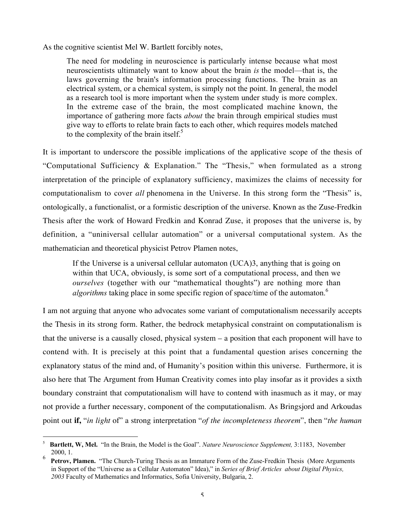As the cognitive scientist Mel W. Bartlett forcibly notes,

The need for modeling in neuroscience is particularly intense because what most neuroscientists ultimately want to know about the brain *is* the model—that is, the laws governing the brain's information processing functions. The brain as an electrical system, or a chemical system, is simply not the point. In general, the model as a research tool is more important when the system under study is more complex. In the extreme case of the brain, the most complicated machine known, the importance of gathering more facts *about* the brain through empirical studies must give way to efforts to relate brain facts to each other, which requires models matched to the complexity of the brain itself.<sup>5</sup>

It is important to underscore the possible implications of the applicative scope of the thesis of "Computational Sufficiency & Explanation." The "Thesis," when formulated as a strong interpretation of the principle of explanatory sufficiency, maximizes the claims of necessity for computationalism to cover *all* phenomena in the Universe. In this strong form the "Thesis" is, ontologically, a functionalist, or a formistic description of the universe. Known as the Zuse-Fredkin Thesis after the work of Howard Fredkin and Konrad Zuse, it proposes that the universe is, by definition, a "uniniversal cellular automation" or a universal computational system. As the mathematician and theoretical physicist Petrov Plamen notes,

If the Universe is a universal cellular automaton (UCA)3, anything that is going on within that UCA, obviously, is some sort of a computational process, and then we *ourselves* (together with our "mathematical thoughts") are nothing more than *algorithms* taking place in some specific region of space/time of the automaton.<sup>6</sup>

I am not arguing that anyone who advocates some variant of computationalism necessarily accepts the Thesis in its strong form. Rather, the bedrock metaphysical constraint on computationalism is that the universe is a causally closed, physical system – a position that each proponent will have to contend with. It is precisely at this point that a fundamental question arises concerning the explanatory status of the mind and, of Humanity's position within this universe. Furthermore, it is also here that The Argument from Human Creativity comes into play insofar as it provides a sixth boundary constraint that computationalism will have to contend with inasmuch as it may, or may not provide a further necessary, component of the computationalism. As Bringsjord and Arkoudas point out **if,** "*in light* of" a strong interpretation "*of the incompleteness theorem*", then "*the human*

<sup>5</sup> Bartlett, W, Mel. "In the Brain, the Model is the Goal". *Nature Neuroscience Supplement,* 3:1183, November  $\frac{2000}{.}$  1.

Petrov, Plamen. "The Church-Turing Thesis as an Immature Form of the Zuse-Fredkin Thesis (More Arguments in Support of the "Universe as a Cellular Automaton" Idea)," in *Series of Brief Articles about Digital Physics, 2003* Faculty of Mathematics and Informatics, Sofia University, Bulgaria, 2.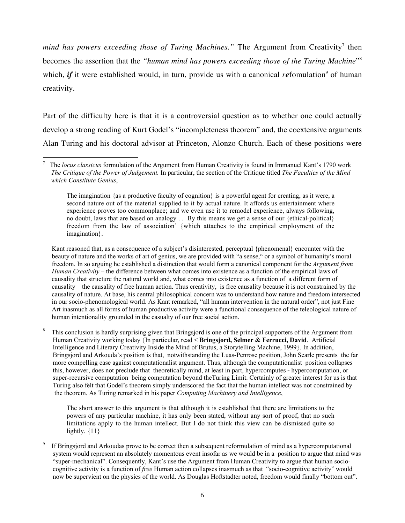*mind has powers exceeding those of Turing Machines.*" The Argument from Creativity<sup>7</sup> then becomes the assertion that the *"human mind has powers exceeding those of the Turing Machine*"<sup>8</sup> which, *if* it were established would, in turn, provide us with a canonical *reformulation*<sup>9</sup> of human creativity.

Part of the difficulty here is that it is a controversial question as to whether one could actually develop a strong reading of Kurt Godel's "incompleteness theorem" and, the coextensive arguments Alan Turing and his doctoral advisor at Princeton, Alonzo Church. Each of these positions were

Kant reasoned that, as a consequence of a subject's disinterested, perceptual {phenomenal} encounter with the beauty of nature and the works of art of genius, we are provided with "a sense," or a symbol of humanity's moral freedom. In so arguing he established a distinction that would form a canonical component for the *Argument from Human Creativity* – the difference between what comes into existence as a function of the empirical laws of causality that structure the natural world and, what comes into existence as a function of a different form of causality – the causality of free human action. Thus creativity, is free causality because it is not constrained by the causality of nature. At base, his central philosophical concern was to understand how nature and freedom intersected in our socio-phenomological world. As Kant remarked, "all human intervention in the natural order", not just Fine Art inasmuch as all forms of human productive activity were a functional consequence of the teleological nature of human intentionality grounded in the casualty of our free social action.

8 This conclusion is hardly surprising given that Bringsjord is one of the principal supporters of the Argument from Human Creativity working today {In particular, read < Bringsjord, Selmer & Ferrucci, David. Artificial Intelligence and Literary Creativity Inside the Mind of Brutus, a Storytelling Machine, 1999}. In addition, Bringsjord and Arkouda's position is that, notwithstanding the Luas-Penrose position, John Searle presents the far more compelling case against computationalist argument. Thus, although the computationalist position collapses this, however, does not preclude that theoretically mind, at least in part, hypercomputes - hypercomputation, or super-recursive computation being computation beyond theTuring Limit. Certainly of greater interest for us is that Turing also felt that Godel's theorem simply underscored the fact that the human intellect was not constrained by the theorem. As Turing remarked in his paper *Computing Machinery and Intelligence*,

The short answer to this argument is that although it is established that there are limitations to the powers of any particular machine, it has only been stated, without any sort of proof, that no such limitations apply to the human intellect. But I do not think this view can be dismissed quite so lightly.  $\{11\}$ 

9 If Bringsjord and Arkoudas prove to be correct then a subsequent reformulation of mind as a hypercomputational system would represent an absolutely momentous event insofar as we would be in a position to argue that mind was "super-mechanical". Consequently, Kant's use the Argument from Human Creativity to argue that human socio cognitive activity is a function of *free* Human action collapses inasmuch as that "socio-cognitive activity" would now be supervient on the physics of the world. As Douglas Hoftstadter noted, freedom would finally "bottom out".

 $\overline{a}$ 7 The *locus classicus* formulation of the Argument from Human Creativity is found in Immanuel Kant's 1790 work *The Critique of the Power of Judgement.* In particular, the section of the Critique titled *The Faculties of the Mind which Constitute Genius*,

The imagination {as a productive faculty of cognition} is a powerful agent for creating, as it were, a second nature out of the material supplied to it by actual nature. It affords us entertainment where experience proves too commonplace; and we even use it to remodel experience, always following, no doubt, laws that are based on analogy . . By this means we get a sense of our {ethical-political} freedom from the law of association' {which attaches to the empirical employment of the imagination}.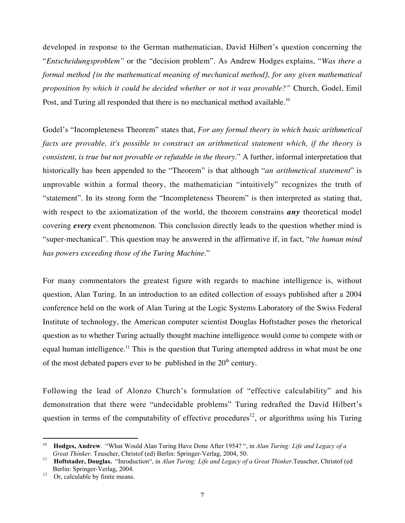developed in response to the German mathematician, David Hilbert's question concerning the "*Entscheidungsproblem"* or the "decision problem". As Andrew Hodges explains, "*Was there a formal method {in the mathematical meaning of mechanical method}, for any given mathematical proposition by which it could be decided whether or not it was provable?"* Church, Godel, Emil Post, and Turing all responded that there is no mechanical method available.<sup>10</sup>

Godel's "Incompleteness Theorem" states that, *For any formal theory in which basic arithmetical facts are provable, it's possible to construct an arithmetical statement which, if the theory is consistent, is true but not provable or refutable in the theory*." A further, informal interpretation that historically has been appended to the "Theorem" is that although "*an arithmetical statement*" is unprovable within a formal theory, the mathematician "intuitively" recognizes the truth of "statement". In its strong form the "Incompleteness Theorem" is then interpreted as stating that, with respect to the axiomatization of the world, the theorem constrains *any* theoretical model covering *every* event phenomenon. This conclusion directly leads to the question whether mind is "super-mechanical". This question may be answered in the affirmative if, in fact, "*the human mind has powers exceeding those of the Turing Machine*."

For many commentators the greatest figure with regards to machine intelligence is, without question, Alan Turing. In an introduction to an edited collection of essays published after a 2004 conference held on the work of Alan Turing at the Logic Systems Laboratory of the Swiss Federal Institute of technology, the American computer scientist Douglas Hoftstadter poses the rhetorical question as to whether Turing actually thought machine intelligence would come to compete with or equal human intelligence.<sup>11</sup> This is the question that Turing attempted address in what must be one of the most debated papers ever to be published in the  $20<sup>th</sup>$  century.

Following the lead of Alonzo Church's formulation of "effective calculability" and his demonstration that there were "undecidable problems" Turing redrafted the David Hilbert's question in terms of the computability of effective procedures<sup>12</sup>, or algorithms using his Turing

<sup>10</sup> Hodges, Andrew. "What Would Alan Turing Have Done After 1954? ", in *Alan Turing: Life and Legacy of a Great Thinker*. Teuscher, Christof (ed) Berlin: Springer-Verlag, 2004, 50.

Hoftstader, Douglas. "Inroduction", in *Alan Turing: Life and Legacy of a Great Thinker*.Teuscher, Christof (ed Berlin: Springer-Verlag, 2004.

<sup>12</sup> Or, calculable by finite means.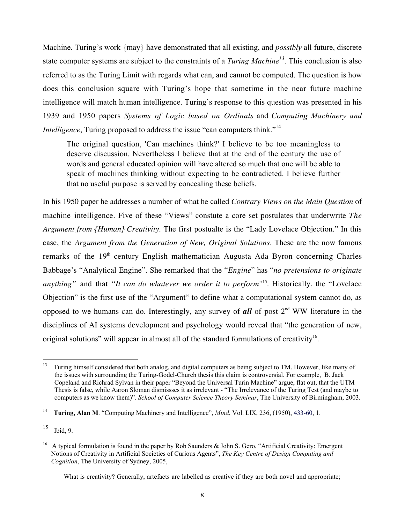Machine. Turing's work {may} have demonstrated that all existing, and *possibly* all future, discrete state computer systems are subject to the constraints of a *Turing Machine*<sup>13</sup>. This conclusion is also referred to as the Turing Limit with regards what can, and cannot be computed. The question is how does this conclusion square with Turing's hope that sometime in the near future machine intelligence will match human intelligence. Turing's response to this question was presented in his 1939 and 1950 papers *Systems of Logic based on Ordinals* and *Computing Machinery and Intelligence*, Turing proposed to address the issue "can computers think."<sup>14</sup>

The original question, 'Can machines think?' I believe to be too meaningless to deserve discussion. Nevertheless I believe that at the end of the century the use of words and general educated opinion will have altered so much that one will be able to speak of machines thinking without expecting to be contradicted. I believe further that no useful purpose is served by concealing these beliefs.

In his 1950 paper he addresses a number of what he called *Contrary Views on the Main Question* of machine intelligence*.* Five of these "Views" constute a core set postulates that underwrite *The Argument from {Human} Creativity.* The first postualte is the "Lady Lovelace Objection." In this case, the *Argument from the Generation of New, Original Solutions.* These are the now famous remarks of the 19<sup>th</sup> century English mathematician Augusta Ada Byron concerning Charles Babbage's "Analytical Engine". She remarked that the "*Engine*" has "*no pretensions to originate anything"* and that *"It can do whatever we order it to perform*"<sup>15</sup> . Historically, the "Lovelace Objection" is the first use of the "Argument" to define what a computational system cannot do, as opposed to we humans can do. Interestingly, any survey of **all** of post  $2<sup>nd</sup> WW$  literature in the disciplines of AI systems development and psychology would reveal that "the generation of new, original solutions" will appear in almost all of the standard formulations of creativity $<sup>16</sup>$ .</sup>

14 Turing, Alan M. "Computing Machinery and Intelligence", *Mind*, Vol. LlX, 236, (1950), 433-60, 1.

15 Ibid, 9.

What is creativity? Generally, artefacts are labelled as creative if they are both novel and appropriate;

<sup>&</sup>lt;sup>13</sup> Turing himself considered that both analog, and digital computers as being subject to TM. However, like many of the issues with surrounding the Turing-Godel-Church thesis this claim is controversial. For example, B. Jack Copeland and Richrad Sylvan in their paper "Beyond the Universal Turin Machine" argue, flat out, that the UTM Thesis is false, while Aaron Sloman dismissses it as irrelevant - "The Irrelevance of the Turing Test (and maybe to computers as we know them)". *School of Computer Science Theory Seminar*, The University of Birmingham, 2003.

<sup>16</sup> A typical formulation is found in the paper by Rob Saunders & John S. Gero, "Artificial Creativity: Emergent Notions of Creativity in Artificial Societies of Curious Agents", *The Key Centre of Design Computing and Cognition*, The University of Sydney, 2005,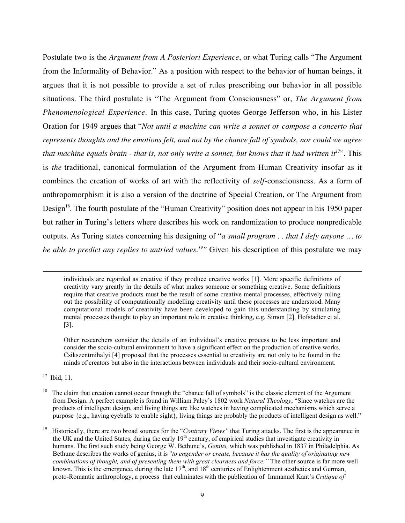Postulate two is the *Argument from A Posteriori Experience*, or what Turing calls "The Argument from the Informality of Behavior." As a position with respect to the behavior of human beings, it argues that it is not possible to provide a set of rules prescribing our behavior in all possible situations. The third postulate is "The Argument from Consciousness" or, *The Argument from Phenomenological Experience.* In this case, Turing quotes George Jefferson who, in his Lister Oration for 1949 argues that "*Not until a machine can write a sonnet or compose a concerto that represents thoughts and the emotions felt, and not by the chance fall of symbols, nor could we agree* that machine equals brain - that is, not only write a sonnet, but knows that it had written it<sup>17</sup>". This is *the* traditional, canonical formulation of the Argument from Human Creativity insofar as it combines the creation of works of art with the reflectivity of *self-*consciousness. As a form of anthropomorphism it is also a version of the doctrine of Special Creation, or The Argument from Design<sup>18</sup>. The fourth postulate of the "Human Creativity" position does not appear in his 1950 paper but rather in Turing's letters where describes his work on randomization to produce nonpredicable outputs. As Turing states concerning his designing of "*a small program . . that I defy anyone … to be able to predict any replies to untried values.<sup>19</sup> "* Given his description of this postulate we may

individuals are regarded as creative if they produce creative works [1]. More specific definitions of creativity vary greatly in the details of what makes someone or something creative. Some definitions require that creative products must be the result of some creative mental processes, effectively ruling out the possibility of computationally modelling creativity until these processes are understood. Many computational models of creativity have been developed to gain this understanding by simulating mental processes thought to play an important role in creative thinking, e.g. Simon [2], Hofstadter et al. [3].

Other researchers consider the details of an individual's creative process to be less important and consider the socio-cultural environment to have a significant effect on the production of creative works. Csikszentmihalyi [4] proposed that the processes essential to creativity are not only to be found in the minds of creators but also in the interactions between individuals and their socio-cultural environment.

 $17$  Ibid, 11.

<u>.</u>

<sup>18</sup> The claim that creation cannot occur through the "chance fall of symbols" is the classic element of the Argument from Design. A perfect example is found in William Paley's 1802 work *Natural Theology*, "Since watches are the products of intelligent design, and living things are like watches in having complicated mechanisms which serve a purpose {e.g., having eyeballs to enable sight}, living things are probably the products of intelligent design as well."

<sup>19</sup> Historically, there are two broad sources for the "*Contrary Views"* that Turing attacks. The first is the appearance in the UK and the United States, during the early 19<sup>th</sup> century, of empirical studies that investigate creativity in humans. The first such study being George W. Bethune's, *Genius,* which was published in 1837 in Philadelphia. As Bethune describes the works of genius, it is "*to engender or create, because it has the quality of originating new combinations of thought, and of presenting them with great clearness and force."* The other source is far more well known. This is the emergence, during the late  $17<sup>th</sup>$ , and  $18<sup>th</sup>$  centuries of Enlightenment aesthetics and German, proto-Romantic anthropology, a process that culminates with the publication of Immanuel Kant's *Critique of*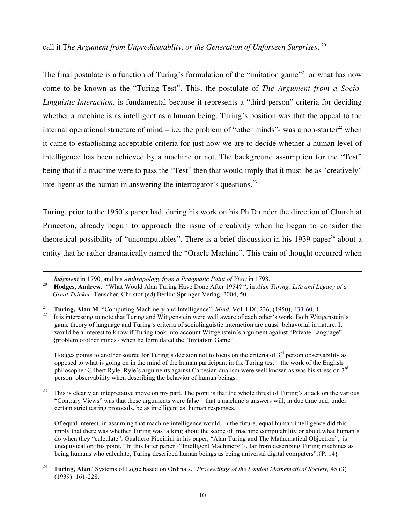call it T*he Argument from Unpredicatablity, or the Generation of Unforseen Surprises*. 20

The final postulate is a function of Turing's formulation of the "imitation game"<sup>21</sup> or what has now come to be known as the "Turing Test". This, the postulate of *The Argument from a Socio-Linguistic Interaction,* is fundamental because it represents a "third person" criteria for deciding whether a machine is as intelligent as a human being. Turing's position was that the appeal to the internal operational structure of mind – i.e. the problem of "other minds"- was a non-starter<sup>22</sup> when it came to establishing acceptable criteria for just how we are to decide whether a human level of intelligence has been achieved by a machine or not. The background assumption for the "Test" being that if a machine were to pass the "Test" then that would imply that it must be as "creatively" intelligent as the human in answering the interrogator's questions. $^{23}$ 

Turing, prior to the 1950's paper had, during his work on his Ph.D under the direction of Church at Princeton, already begun to approach the issue of creativity when he began to consider the theoretical possibility of "uncomputables". There is a brief discussion in his 1939 paper<sup>24</sup> about a entity that he rather dramatically named the "Oracle Machine". This train of thought occurred when

<u>.</u>

Hodges points to another source for Turing's decision not to focus on the criteria of  $3<sup>rd</sup>$  person observability as opposed to what is going on in the mind of the human participant in the Turing test – the work of the English philosopher Gilbert Ryle. Ryle's arguments against Cartesian dualism were well known as was his stress on 3rd person observability when describing the behavior of human beings.

23 This is clearly an intepretative move on my part. The point is that the whole thrust of Turing's attack on the various "Contrary Views" was that these arguments were false – that a machine's answers will, in due time and, under certain strict testing protocols, be as intelligent as human responses.

 Of equal interest, in assuming that machine intelligence would, in the future, equal human intelligence did this imply that there was whether Turing was talking about the scope of machine computability or about what human's do when they "calculate". Gualtiero Piccinini in his paper, "Alan Turing and The Mathematical Objection", is unequivical on this point, "In this latter paper {"Intelligent Machinery"}, far from describing Turing machines as being humans who calculate, Turing described human beings as being universal digital computers".{P. 14}

*Judgment* in 1790, and his *Anthropology from a Pragmatic Point of View* in 1798.

Hodges, Andrew. "What Would Alan Turing Have Done After 1954? ", in *Alan Turing: Life and Legacy of a Great Thinker*. Teuscher, Christof (ed) Berlin: Springer-Verlag, 2004, 50.

<sup>21</sup> <sup>21</sup> Turing, Alan M. "Computing Machinery and Intelligence", *Mind*, Vol. LIX, 236, (1950), 433-60, 1.

It is interesting to note that Turing and Wittgenstein were well aware of each other's work. Both Wittgenstein's game theory of language and Turing's criteria of sociolinguistic interaction are quasi behavorial in nature. It would be a interest to know if Turing took into account Wittgenstein's argument against "Private Language" {problem ofother minds} when he formulated the "Imitation Game".

<sup>24</sup> Turing, Alan."Systems of Logic based on Ordinals." *Proceedings of the London Mathematical Society,* 45 (3) (1939): 161-228,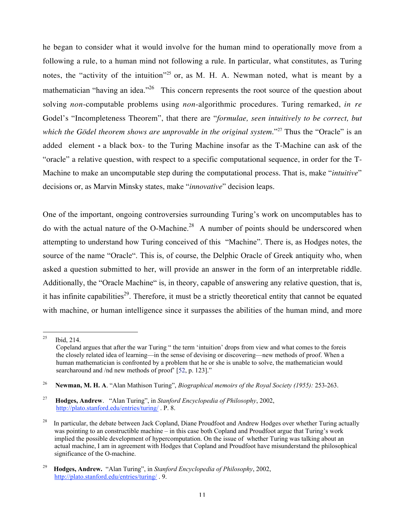he began to consider what it would involve for the human mind to operationally move from a following a rule, to a human mind not following a rule. In particular, what constitutes, as Turing notes, the "activity of the intuition"<sup>25</sup> or, as M. H. A. Newman noted, what is meant by a mathematician "having an idea."<sup>26</sup> This concern represents the root source of the question about solving *non*-computable problems using *non*-algorithmic procedures. Turing remarked, *in re* Godel's "Incompleteness Theorem", that there are "*formulae, seen intuitively to be correct, but which the Gödel theorem shows are unprovable in the original system*."<sup>27</sup> Thus the "Oracle" is an added element **-** a black box- to the Turing Machine insofar as the T-Machine can ask of the "oracle" a relative question, with respect to a specific computational sequence, in order for the T-Machine to make an uncomputable step during the computational process. That is, make "*intuitive*" decisions or, as Marvin Minsky states, make "*innovative*" decision leaps.

One of the important, ongoing controversies surrounding Turing's work on uncomputables has to do with the actual nature of the O-Machine.<sup>28</sup> A number of points should be underscored when attempting to understand how Turing conceived of this "Machine". There is, as Hodges notes, the source of the name "Oracle". This is, of course, the Delphic Oracle of Greek antiquity who, when asked a question submitted to her, will provide an answer in the form of an interpretable riddle. Additionally, the "Oracle Machine" is, in theory, capable of answering any relative question, that is, it has infinite capabilities<sup>29</sup>. Therefore, it must be a strictly theoretical entity that cannot be equated with machine, or human intelligence since it surpasses the abilities of the human mind, and more

 $\frac{1}{25}$ Ibid, 214.

Copeland argues that after the war Turing " the term 'intuition' drops from view and what comes to the foreis the closely related idea of learning—in the sense of devising or discovering—new methods of proof. When a human mathematician is confronted by a problem that he or she is unable to solve, the mathematician would searcharound and /nd new methods of proof' [52, p. 123]."

<sup>26</sup> Newman, M. H. A. "Alan Mathison Turing", *Biographical memoirs of the Royal Society (1955):* 253-263.

<sup>27</sup> Hodges, Andrew. "Alan Turing", in *Stanford Encyclopedia of Philosophy*, 2002, http://plato.stanford.edu/entries/turing/ . P. 8.

<sup>28</sup> In particular, the debate between Jack Copland, Diane Proudfoot and Andrew Hodges over whether Turing actually was pointing to an constructible machine – in this case both Copland and Proudfoot argue that Turing's work implied the possible development of hypercomputation. On the issue of whether Turing was talking about an actual machine, I am in agreement with Hodges that Copland and Proudfoot have misunderstand the philosophical significance of the O-machine.

<sup>29</sup> Hodges, Andrew. "Alan Turing", in *Stanford Encyclopedia of Philosophy*, 2002, http://plato.stanford.edu/entries/turing/ . 9.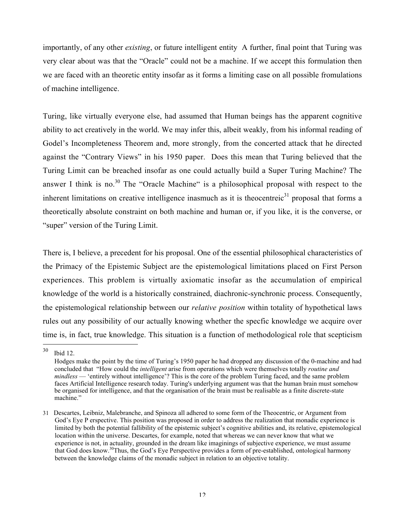importantly, of any other *existing*, or future intelligent entity A further, final point that Turing was very clear about was that the "Oracle" could not be a machine. If we accept this formulation then we are faced with an theoretic entity insofar as it forms a limiting case on all possible fromulations of machine intelligence.

Turing, like virtually everyone else, had assumed that Human beings has the apparent cognitive ability to act creatively in the world. We may infer this, albeit weakly, from his informal reading of Godel's Incompleteness Theorem and, more strongly, from the concerted attack that he directed against the "Contrary Views" in his 1950 paper. Does this mean that Turing believed that the Turing Limit can be breached insofar as one could actually build a Super Turing Machine? The answer I think is no.<sup>30</sup> The "Oracle Machine" is a philosophical proposal with respect to the inherent limitations on creative intelligence inasmuch as it is theocentreic<sup>31</sup> proposal that forms a theoretically absolute constraint on both machine and human or, if you like, it is the converse, or "super" version of the Turing Limit.

There is, I believe, a precedent for his proposal. One of the essential philosophical characteristics of the Primacy of the Epistemic Subject are the epistemological limitations placed on First Person experiences. This problem is virtually axiomatic insofar as the accumulation of empirical knowledge of the world is a historically constrained, diachronic-synchronic process. Consequently, the epistemological relationship between our *relative position* within totality of hypothetical laws rules out any possibility of our actually knowing whether the specfic knowledge we acquire over time is, in fact, true knowledge. This situation is a function of methodological role that scepticism

 $\frac{1}{30}$ Ibid 12.

Hodges make the point by the time of Turing's 1950 paper he had dropped any discussion of the 0-machine and had concluded that "How could the *intelligent* arise from operations which were themselves totally *routine and mindless* — 'entirely without intelligence'? This is the core of the problem Turing faced, and the same problem faces Artificial Intelligence research today. Turing's underlying argument was that the human brain must somehow be organised for intelligence, and that the organisation of the brain must be realisable as a finite discrete-state machine."

<sup>31</sup> Descartes, Leibniz, Malebranche, and Spinoza all adhered to some form of the Theocentric, or Argument from God's Eye P erspective. This position was proposed in order to address the realization that monadic experience is limited by both the potential fallibility of the epistemic subject's cognitive abilities and, its relative, epistemological location within the universe. Descartes, for example, noted that whereas we can never know that what we experience is not, in actuality, grounded in the dream like imaginings of subjective experience, we must assume that God does know.<sup>30</sup>Thus, the God's Eye Perspective provides a form of pre-established, ontological harmony between the knowledge claims of the monadic subject in relation to an objective totality.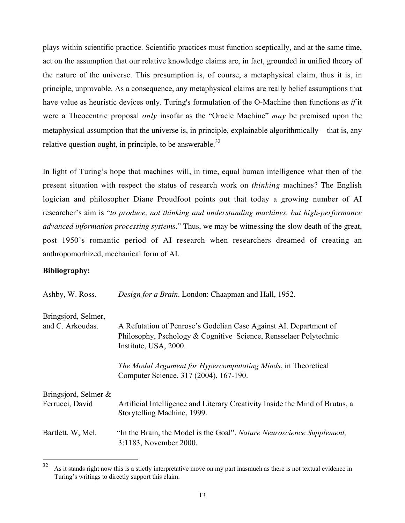plays within scientific practice. Scientific practices must function sceptically, and at the same time, act on the assumption that our relative knowledge claims are, in fact, grounded in unified theory of the nature of the universe. This presumption is, of course, a metaphysical claim, thus it is, in principle, unprovable. As a consequence, any metaphysical claims are really belief assumptions that have value as heuristic devices only. Turing's formulation of the O-Machine then functions *as if* it were a Theocentric proposal *only* insofar as the "Oracle Machine" *may* be premised upon the metaphysical assumption that the universe is, in principle, explainable algorithmically – that is, any relative question ought, in principle, to be answerable.<sup>32</sup>

In light of Turing's hope that machines will, in time, equal human intelligence what then of the present situation with respect the status of research work on *thinking* machines? The English logician and philosopher Diane Proudfoot points out that today a growing number of AI researcher's aim is "*to produce, not thinking and understanding machines, but high-performance advanced information processing systems*." Thus, we may be witnessing the slow death of the great, post 1950's romantic period of AI research when researchers dreamed of creating an anthropomorhized, mechanical form of AI.

## Bibliography:

| Ashby, W. Ross.      | Design for a Brain. London: Chaapman and Hall, 1952.                                                                                                            |
|----------------------|-----------------------------------------------------------------------------------------------------------------------------------------------------------------|
| Bringsjord, Selmer,  |                                                                                                                                                                 |
| and C. Arkoudas.     | A Refutation of Penrose's Godelian Case Against AI. Department of<br>Philosophy, Pschology & Cognitive Science, Rensselaer Polytechnic<br>Institute, USA, 2000. |
|                      | <i>The Modal Argument for Hypercomputating Minds, in Theoretical</i><br>Computer Science, 317 (2004), 167-190.                                                  |
| Bringsjord, Selmer & |                                                                                                                                                                 |
| Ferrucci, David      | Artificial Intelligence and Literary Creativity Inside the Mind of Brutus, a<br>Storytelling Machine, 1999.                                                     |
| Bartlett, W. Mel.    | "In the Brain, the Model is the Goal". Nature Neuroscience Supplement,<br>3:1183, November 2000.                                                                |

 $\frac{1}{32}$  As it stands right now this is a stictly interpretative move on my part inasmuch as there is not textual evidence in Turing's writings to directly support this claim.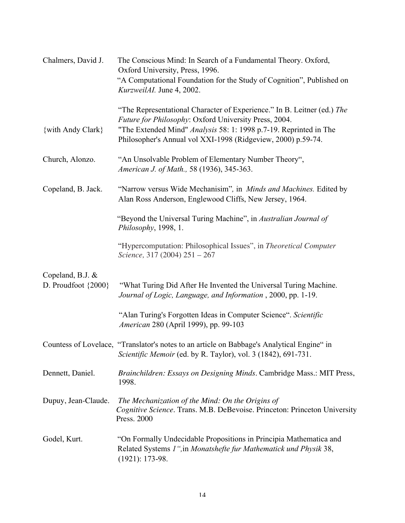| Chalmers, David J.                          | The Conscious Mind: In Search of a Fundamental Theory. Oxford,<br>Oxford University, Press, 1996.                                                                                                                                                                     |
|---------------------------------------------|-----------------------------------------------------------------------------------------------------------------------------------------------------------------------------------------------------------------------------------------------------------------------|
|                                             | "A Computational Foundation for the Study of Cognition", Published on<br>KurzweilAI. June 4, 2002.                                                                                                                                                                    |
| {with Andy Clark}                           | "The Representational Character of Experience." In B. Leitner (ed.) The<br>Future for Philosophy: Oxford University Press, 2004.<br>"The Extended Mind" Analysis 58: 1: 1998 p.7-19. Reprinted in The<br>Philosopher's Annual vol XXI-1998 (Ridgeview, 2000) p.59-74. |
| Church, Alonzo.                             | "An Unsolvable Problem of Elementary Number Theory",<br>American J. of Math., 58 (1936), 345-363.                                                                                                                                                                     |
| Copeland, B. Jack.                          | "Narrow versus Wide Mechanisim", in Minds and Machines. Edited by<br>Alan Ross Anderson, Englewood Cliffs, New Jersey, 1964.                                                                                                                                          |
|                                             | "Beyond the Universal Turing Machine", in Australian Journal of<br>Philosophy, 1998, 1.                                                                                                                                                                               |
|                                             | "Hypercomputation: Philosophical Issues", in Theoretical Computer<br>Science, 317 (2004) 251 - 267                                                                                                                                                                    |
| Copeland, B.J. &<br>D. Proudfoot $\{2000\}$ | "What Turing Did After He Invented the Universal Turing Machine.<br>Journal of Logic, Language, and Information, 2000, pp. 1-19.                                                                                                                                      |
|                                             | "Alan Turing's Forgotten Ideas in Computer Science". Scientific<br>American 280 (April 1999), pp. 99-103                                                                                                                                                              |
|                                             | Countess of Lovelace, "Translator's notes to an article on Babbage's Analytical Engine" in<br>Scientific Memoir (ed. by R. Taylor), vol. 3 (1842), 691-731.                                                                                                           |
| Dennett, Daniel.                            | Brainchildren: Essays on Designing Minds. Cambridge Mass.: MIT Press,<br>1998.                                                                                                                                                                                        |
| Dupuy, Jean-Claude.                         | The Mechanization of the Mind: On the Origins of<br>Cognitive Science. Trans. M.B. DeBevoise. Princeton: Princeton University<br>Press. 2000                                                                                                                          |
| Godel, Kurt.                                | "On Formally Undecidable Propositions in Principia Mathematica and<br>Related Systems 1", in Monatshefte fur Mathematick und Physik 38,<br>$(1921): 173-98.$                                                                                                          |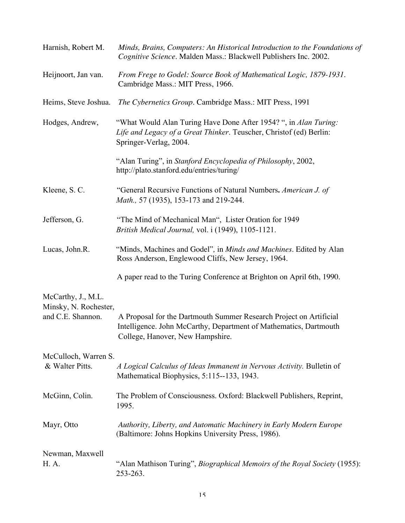| Harnish, Robert M.                                               | Minds, Brains, Computers: An Historical Introduction to the Foundations of<br>Cognitive Science. Malden Mass.: Blackwell Publishers Inc. 2002.                              |
|------------------------------------------------------------------|-----------------------------------------------------------------------------------------------------------------------------------------------------------------------------|
| Heijnoort, Jan van.                                              | From Frege to Godel: Source Book of Mathematical Logic, 1879-1931.<br>Cambridge Mass.: MIT Press, 1966.                                                                     |
| Heims, Steve Joshua.                                             | The Cybernetics Group. Cambridge Mass.: MIT Press, 1991                                                                                                                     |
| Hodges, Andrew,                                                  | "What Would Alan Turing Have Done After 1954?", in Alan Turing:<br>Life and Legacy of a Great Thinker. Teuscher, Christof (ed) Berlin:<br>Springer-Verlag, 2004.            |
|                                                                  | "Alan Turing", in Stanford Encyclopedia of Philosophy, 2002,<br>http://plato.stanford.edu/entries/turing/                                                                   |
| Kleene, S.C.                                                     | "General Recursive Functions of Natural Numbers. American J. of<br>Math., 57 (1935), 153-173 and 219-244.                                                                   |
| Jefferson, G.                                                    | "The Mind of Mechanical Man", Lister Oration for 1949<br>British Medical Journal, vol. i (1949), 1105-1121.                                                                 |
| Lucas, John.R.                                                   | "Minds, Machines and Godel", in Minds and Machines. Edited by Alan<br>Ross Anderson, Englewood Cliffs, New Jersey, 1964.                                                    |
|                                                                  | A paper read to the Turing Conference at Brighton on April 6th, 1990.                                                                                                       |
| McCarthy, J., M.L.<br>Minsky, N. Rochester,<br>and C.E. Shannon. | A Proposal for the Dartmouth Summer Research Project on Artificial<br>Intelligence. John McCarthy, Department of Mathematics, Dartmouth<br>College, Hanover, New Hampshire. |
| McCulloch, Warren S.<br>& Walter Pitts.                          | A Logical Calculus of Ideas Immanent in Nervous Activity. Bulletin of<br>Mathematical Biophysics, 5:115--133, 1943.                                                         |
| McGinn, Colin.                                                   | The Problem of Consciousness. Oxford: Blackwell Publishers, Reprint,<br>1995.                                                                                               |
| Mayr, Otto                                                       | Authority, Liberty, and Automatic Machinery in Early Modern Europe<br>(Baltimore: Johns Hopkins University Press, 1986).                                                    |
| Newman, Maxwell<br>H. A.                                         | "Alan Mathison Turing", <i>Biographical Memoirs of the Royal Society</i> (1955):<br>253-263.                                                                                |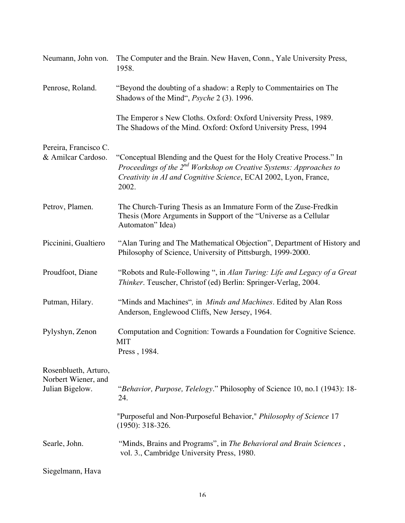| Neumann, John von.                                             | The Computer and the Brain. New Haven, Conn., Yale University Press,<br>1958.                                                                                                                                                        |
|----------------------------------------------------------------|--------------------------------------------------------------------------------------------------------------------------------------------------------------------------------------------------------------------------------------|
| Penrose, Roland.                                               | "Beyond the doubting of a shadow: a Reply to Commentairies on The<br>Shadows of the Mind", <i>Psyche</i> 2 (3). 1996.                                                                                                                |
|                                                                | The Emperor s New Cloths. Oxford: Oxford University Press, 1989.<br>The Shadows of the Mind. Oxford: Oxford University Press, 1994                                                                                                   |
| Pereira, Francisco C.<br>& Amilcar Cardoso.                    | "Conceptual Blending and the Quest for the Holy Creative Process." In<br>Proceedings of the 2 <sup>nd</sup> Workshop on Creative Systems: Approaches to<br>Creativity in AI and Cognitive Science, ECAI 2002, Lyon, France,<br>2002. |
| Petrov, Plamen.                                                | The Church-Turing Thesis as an Immature Form of the Zuse-Fredkin<br>Thesis (More Arguments in Support of the "Universe as a Cellular<br>Automaton" Idea)                                                                             |
| Piccinini, Gualtiero                                           | "Alan Turing and The Mathematical Objection", Department of History and<br>Philosophy of Science, University of Pittsburgh, 1999-2000.                                                                                               |
| Proudfoot, Diane                                               | "Robots and Rule-Following", in Alan Turing: Life and Legacy of a Great<br>Thinker. Teuscher, Christof (ed) Berlin: Springer-Verlag, 2004.                                                                                           |
| Putman, Hilary.                                                | "Minds and Machines", in <i>Minds and Machines</i> . Edited by Alan Ross<br>Anderson, Englewood Cliffs, New Jersey, 1964.                                                                                                            |
| Pylyshyn, Zenon                                                | Computation and Cognition: Towards a Foundation for Cognitive Science.<br><b>MIT</b><br>Press, 1984.                                                                                                                                 |
| Rosenblueth, Arturo,<br>Norbert Wiener, and<br>Julian Bigelow. | "Behavior, Purpose, Telelogy." Philosophy of Science 10, no.1 (1943): 18-<br>24.                                                                                                                                                     |
|                                                                | "Purposeful and Non-Purposeful Behavior," Philosophy of Science 17<br>$(1950): 318-326.$                                                                                                                                             |
| Searle, John.                                                  | "Minds, Brains and Programs", in The Behavioral and Brain Sciences,<br>vol. 3., Cambridge University Press, 1980.                                                                                                                    |
| Siegelmann, Hava                                               |                                                                                                                                                                                                                                      |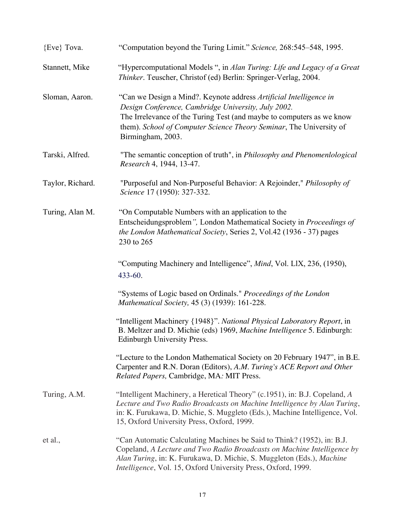| ${Eve}$ Tova.    | "Computation beyond the Turing Limit." Science, 268:545–548, 1995.                                                                                                                                                                                                                             |
|------------------|------------------------------------------------------------------------------------------------------------------------------------------------------------------------------------------------------------------------------------------------------------------------------------------------|
| Stannett, Mike   | "Hypercomputational Models ", in Alan Turing: Life and Legacy of a Great<br>Thinker. Teuscher, Christof (ed) Berlin: Springer-Verlag, 2004.                                                                                                                                                    |
| Sloman, Aaron.   | "Can we Design a Mind?. Keynote address Artificial Intelligence in<br>Design Conference, Cambridge University, July 2002.<br>The Irrelevance of the Turing Test (and maybe to computers as we know<br>them). School of Computer Science Theory Seminar, The University of<br>Birmingham, 2003. |
| Tarski, Alfred.  | "The semantic conception of truth", in Philosophy and Phenomenlological<br>Research 4, 1944, 13-47.                                                                                                                                                                                            |
| Taylor, Richard. | "Purposeful and Non-Purposeful Behavior: A Rejoinder," Philosophy of<br>Science 17 (1950): 327-332.                                                                                                                                                                                            |
| Turing, Alan M.  | "On Computable Numbers with an application to the<br>Entscheidungsproblem", London Mathematical Society in Proceedings of<br>the London Mathematical Society, Series 2, Vol.42 (1936 - 37) pages<br>230 to 265                                                                                 |
|                  | "Computing Machinery and Intelligence", Mind, Vol. LIX, 236, (1950),<br>433-60.                                                                                                                                                                                                                |
|                  | "Systems of Logic based on Ordinals." Proceedings of the London<br>Mathematical Society, 45 (3) (1939): 161-228.                                                                                                                                                                               |
|                  | "Intelligent Machinery {1948}". National Physical Laboratory Report, in<br>B. Meltzer and D. Michie (eds) 1969, Machine Intelligence 5. Edinburgh:<br>Edinburgh University Press.                                                                                                              |
|                  | "Lecture to the London Mathematical Society on 20 February 1947", in B.E.<br>Carpenter and R.N. Doran (Editors), A.M. Turing's ACE Report and Other<br>Related Papers, Cambridge, MA: MIT Press.                                                                                               |
| Turing, A.M.     | "Intelligent Machinery, a Heretical Theory" (c.1951), in: B.J. Copeland, A<br>Lecture and Two Radio Broadcasts on Machine Intelligence by Alan Turing,<br>in: K. Furukawa, D. Michie, S. Muggleto (Eds.), Machine Intelligence, Vol.<br>15, Oxford University Press, Oxford, 1999.             |
| et al.,          | "Can Automatic Calculating Machines be Said to Think? (1952), in: B.J.<br>Copeland, A Lecture and Two Radio Broadcasts on Machine Intelligence by<br>Alan Turing, in: K. Furukawa, D. Michie, S. Muggleton (Eds.), Machine<br>Intelligence, Vol. 15, Oxford University Press, Oxford, 1999.    |